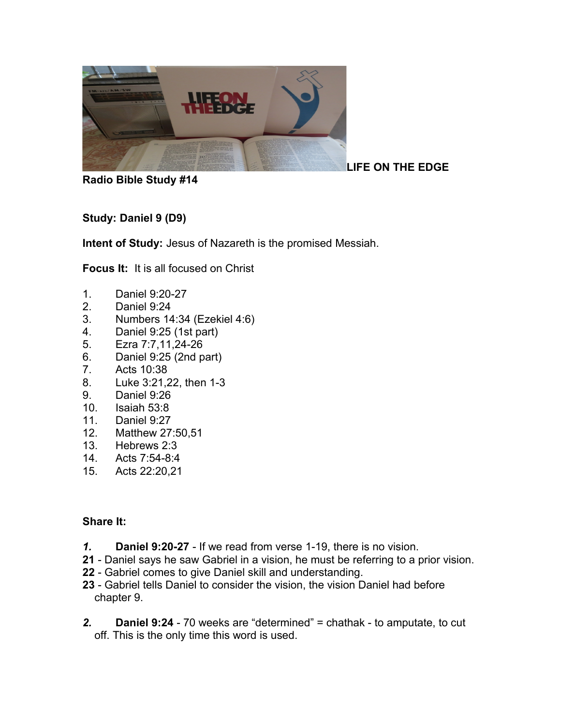

**Radio Bible Study #14**

**Study: Daniel 9 (D9)**

**Intent of Study:** Jesus of Nazareth is the promised Messiah.

**Focus It:** It is all focused on Christ

- 1. Daniel 9:20-27
- 2. Daniel 9:24
- 3. Numbers 14:34 (Ezekiel 4:6)
- 4. Daniel 9:25 (1st part)
- 5. Ezra 7:7,11,24-26
- 6. Daniel 9:25 (2nd part)
- 7. Acts 10:38
- 8. Luke 3:21,22, then 1-3
- 9. Daniel 9:26
- 10. Isaiah 53:8
- 11. Daniel 9:27
- 12. Matthew 27:50,51
- 13. Hebrews 2:3
- 14. Acts 7:54-8:4
- 15. Acts 22:20,21

## **Share It:**

- *1.* **Daniel 9:20-27** If we read from verse 1-19, there is no vision.
- **21** Daniel says he saw Gabriel in a vision, he must be referring to a prior vision.
- **22** Gabriel comes to give Daniel skill and understanding.
- **23** Gabriel tells Daniel to consider the vision, the vision Daniel had before chapter 9.
- *2.* **Daniel 9:24** 70 weeks are "determined" = chathak to amputate, to cut off. This is the only time this word is used.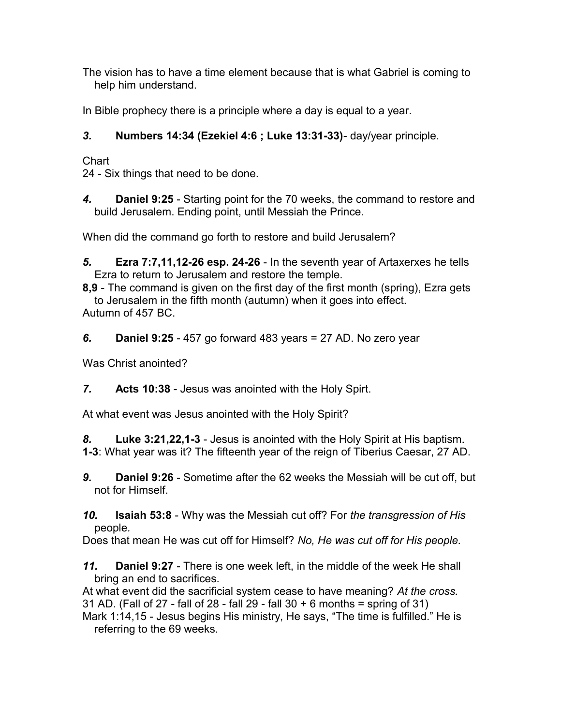The vision has to have a time element because that is what Gabriel is coming to help him understand.

In Bible prophecy there is a principle where a day is equal to a year.

## *3.* **Numbers 14:34 (Ezekiel 4:6 ; Luke 13:31-33)**- day/year principle.

**Chart** 

24 - Six things that need to be done.

*4.* **Daniel 9:25** - Starting point for the 70 weeks, the command to restore and build Jerusalem. Ending point, until Messiah the Prince.

When did the command go forth to restore and build Jerusalem?

*5.* **Ezra 7:7,11,12-26 esp. 24-26** - In the seventh year of Artaxerxes he tells Ezra to return to Jerusalem and restore the temple.

**8,9** - The command is given on the first day of the first month (spring), Ezra gets to Jerusalem in the fifth month (autumn) when it goes into effect. Autumn of 457 BC.

*6.* **Daniel 9:25** - 457 go forward 483 years = 27 AD. No zero year

Was Christ anointed?

*7.* **Acts 10:38** - Jesus was anointed with the Holy Spirt.

At what event was Jesus anointed with the Holy Spirit?

*8.* **Luke 3:21,22,1-3** - Jesus is anointed with the Holy Spirit at His baptism. **1-3**: What year was it? The fifteenth year of the reign of Tiberius Caesar, 27 AD.

*9.* **Daniel 9:26** - Sometime after the 62 weeks the Messiah will be cut off, but not for Himself.

*10.* **Isaiah 53:8** - Why was the Messiah cut off? For *the transgression of His*  people*.*

Does that mean He was cut off for Himself? *No, He was cut off for His people.* 

*11.* **Daniel 9:27** - There is one week left, in the middle of the week He shall bring an end to sacrifices.

At what event did the sacrificial system cease to have meaning? *At the cross.* 31 AD. (Fall of 27 - fall of 28 - fall 29 - fall 30  $+$  6 months = spring of 31)

Mark 1:14,15 - Jesus begins His ministry, He says, "The time is fulfilled." He is referring to the 69 weeks.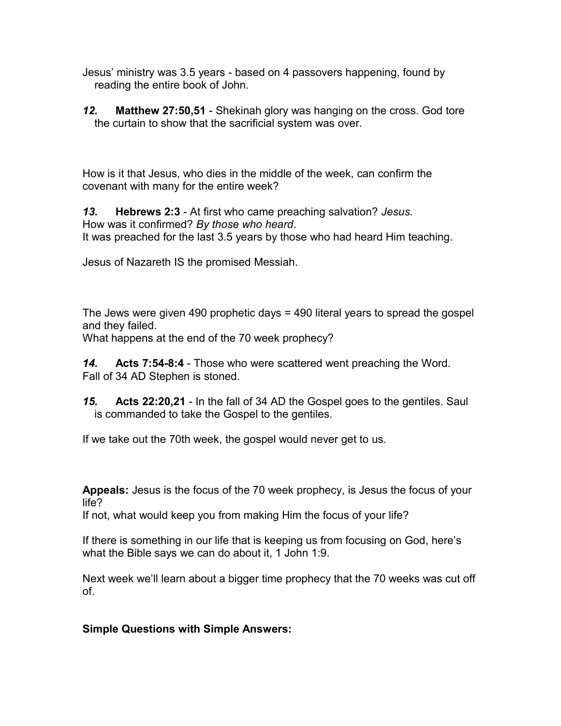Jesus' ministry was 3.5 years - based on 4 passovers happening, found by reading the entire book of John.

*12.* **Matthew 27:50,51** - Shekinah glory was hanging on the cross. God tore the curtain to show that the sacrificial system was over.

How is it that Jesus, who dies in the middle of the week, can confirm the covenant with many for the entire week?

*13.* **Hebrews 2:3** - At first who came preaching salvation? *Jesus.* How was it confirmed? *By those who heard*. It was preached for the last 3.5 years by those who had heard Him teaching.

Jesus of Nazareth IS the promised Messiah.

The Jews were given 490 prophetic days = 490 literal years to spread the gospel and they failed.

What happens at the end of the 70 week prophecy?

*14.* **Acts 7:54-8:4** - Those who were scattered went preaching the Word. Fall of 34 AD Stephen is stoned.

*15.* **Acts 22:20,21** - In the fall of 34 AD the Gospel goes to the gentiles. Saul is commanded to take the Gospel to the gentiles.

If we take out the 70th week, the gospel would never get to us.

**Appeals:** Jesus is the focus of the 70 week prophecy, is Jesus the focus of your life?

If not, what would keep you from making Him the focus of your life?

If there is something in our life that is keeping us from focusing on God, here's what the Bible says we can do about it, 1 John 1:9.

Next week we'll learn about a bigger time prophecy that the 70 weeks was cut off of.

## **Simple Questions with Simple Answers:**